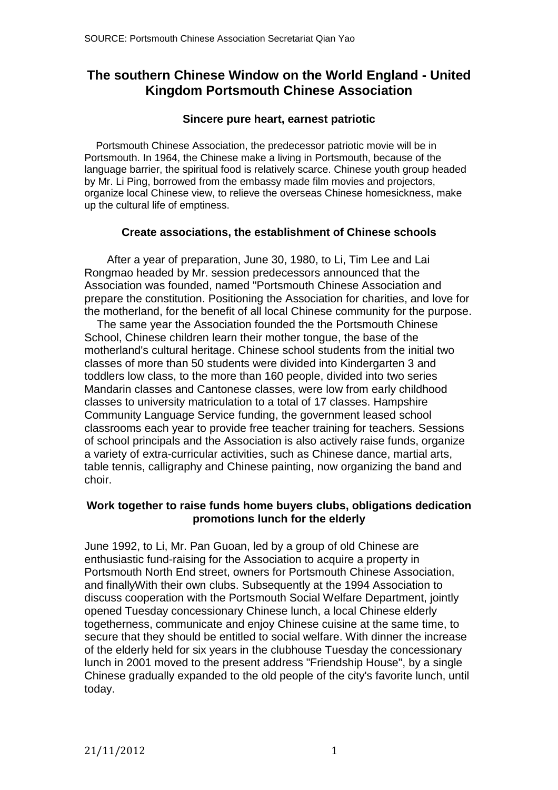# **The southern Chinese Window on the World England - United Kingdom Portsmouth Chinese Association**

#### **Sincere pure heart, earnest patriotic**

 Portsmouth Chinese Association, the predecessor patriotic movie will be in Portsmouth. In 1964, the Chinese make a living in Portsmouth, because of the language barrier, the spiritual food is relatively scarce. Chinese youth group headed by Mr. Li Ping, borrowed from the embassy made film movies and projectors, organize local Chinese view, to relieve the overseas Chinese homesickness, make up the cultural life of emptiness.

#### **Create associations, the establishment of Chinese schools**

 After a year of preparation, June 30, 1980, to Li, Tim Lee and Lai Rongmao headed by Mr. session predecessors announced that the Association was founded, named "Portsmouth Chinese Association and prepare the constitution. Positioning the Association for charities, and love for the motherland, for the benefit of all local Chinese community for the purpose.

The same year the Association founded the the Portsmouth Chinese School, Chinese children learn their mother tongue, the base of the motherland's cultural heritage. Chinese school students from the initial two classes of more than 50 students were divided into Kindergarten 3 and toddlers low class, to the more than 160 people, divided into two series Mandarin classes and Cantonese classes, were low from early childhood classes to university matriculation to a total of 17 classes. Hampshire Community Language Service funding, the government leased school classrooms each year to provide free teacher training for teachers. Sessions of school principals and the Association is also actively raise funds, organize a variety of extra-curricular activities, such as Chinese dance, martial arts, table tennis, calligraphy and Chinese painting, now organizing the band and choir.

#### **Work together to raise funds home buyers clubs, obligations dedication promotions lunch for the elderly**

June 1992, to Li, Mr. Pan Guoan, led by a group of old Chinese are enthusiastic fund-raising for the Association to acquire a property in Portsmouth North End street, owners for Portsmouth Chinese Association, and finallyWith their own clubs. Subsequently at the 1994 Association to discuss cooperation with the Portsmouth Social Welfare Department, jointly opened Tuesday concessionary Chinese lunch, a local Chinese elderly togetherness, communicate and enjoy Chinese cuisine at the same time, to secure that they should be entitled to social welfare. With dinner the increase of the elderly held for six years in the clubhouse Tuesday the concessionary lunch in 2001 moved to the present address "Friendship House", by a single Chinese gradually expanded to the old people of the city's favorite lunch, until today.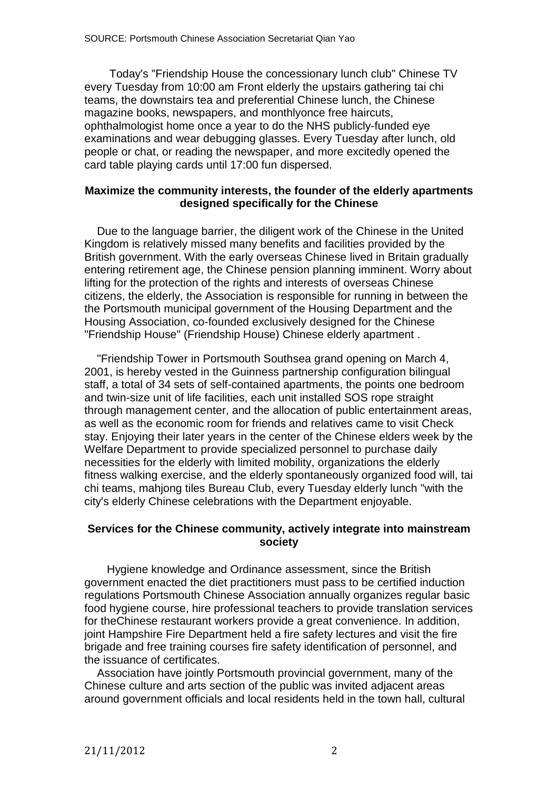Today's "Friendship House the concessionary lunch club" Chinese TV every Tuesday from 10:00 am Front elderly the upstairs gathering tai chi teams, the downstairs tea and preferential Chinese lunch, the Chinese magazine books, newspapers, and monthlyonce free haircuts, ophthalmologist home once a year to do the NHS publicly-funded eye examinations and wear debugging glasses. Every Tuesday after lunch, old people or chat, or reading the newspaper, and more excitedly opened the card table playing cards until 17:00 fun dispersed.

#### **Maximize the community interests, the founder of the elderly apartments designed specifically for the Chinese**

 Due to the language barrier, the diligent work of the Chinese in the United Kingdom is relatively missed many benefits and facilities provided by the British government. With the early overseas Chinese lived in Britain gradually entering retirement age, the Chinese pension planning imminent. Worry about lifting for the protection of the rights and interests of overseas Chinese citizens, the elderly, the Association is responsible for running in between the the Portsmouth municipal government of the Housing Department and the Housing Association, co-founded exclusively designed for the Chinese "Friendship House" (Friendship House) Chinese elderly apartment .

 "Friendship Tower in Portsmouth Southsea grand opening on March 4, 2001, is hereby vested in the Guinness partnership configuration bilingual staff, a total of 34 sets of self-contained apartments, the points one bedroom and twin-size unit of life facilities, each unit installed SOS rope straight through management center, and the allocation of public entertainment areas, as well as the economic room for friends and relatives came to visit Check stay. Enjoying their later years in the center of the Chinese elders week by the Welfare Department to provide specialized personnel to purchase daily necessities for the elderly with limited mobility, organizations the elderly fitness walking exercise, and the elderly spontaneously organized food will, tai chi teams, mahjong tiles Bureau Club, every Tuesday elderly lunch "with the city's elderly Chinese celebrations with the Department enjoyable.

#### **Services for the Chinese community, actively integrate into mainstream society**

 Hygiene knowledge and Ordinance assessment, since the British government enacted the diet practitioners must pass to be certified induction regulations Portsmouth Chinese Association annually organizes regular basic food hygiene course, hire professional teachers to provide translation services for theChinese restaurant workers provide a great convenience. In addition, joint Hampshire Fire Department held a fire safety lectures and visit the fire brigade and free training courses fire safety identification of personnel, and the issuance of certificates.

 Association have jointly Portsmouth provincial government, many of the Chinese culture and arts section of the public was invited adjacent areas around government officials and local residents held in the town hall, cultural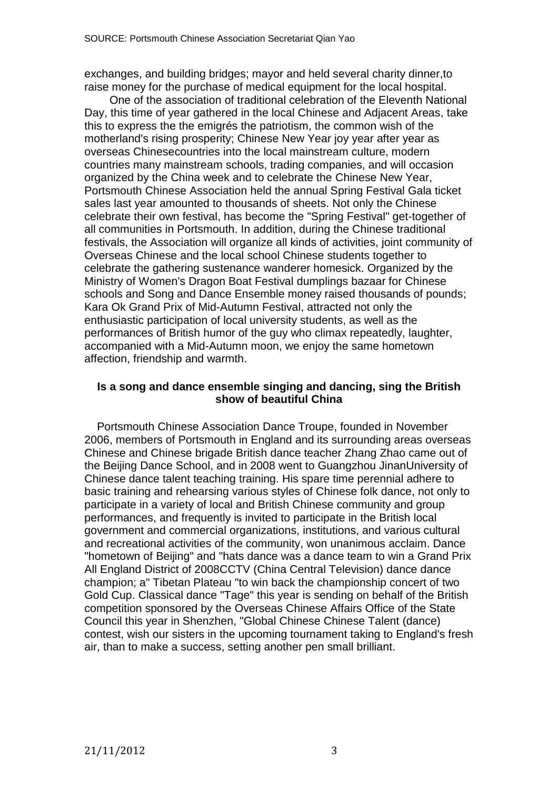exchanges, and building bridges; mayor and held several charity dinner,to raise money for the purchase of medical equipment for the local hospital.

 One of the association of traditional celebration of the Eleventh National Day, this time of year gathered in the local Chinese and Adjacent Areas, take this to express the the emigrés the patriotism, the common wish of the motherland's rising prosperity; Chinese New Year joy year after year as overseas Chinesecountries into the local mainstream culture, modern countries many mainstream schools, trading companies, and will occasion organized by the China week and to celebrate the Chinese New Year, Portsmouth Chinese Association held the annual Spring Festival Gala ticket sales last year amounted to thousands of sheets. Not only the Chinese celebrate their own festival, has become the "Spring Festival" get-together of all communities in Portsmouth. In addition, during the Chinese traditional festivals, the Association will organize all kinds of activities, joint community of Overseas Chinese and the local school Chinese students together to celebrate the gathering sustenance wanderer homesick. Organized by the Ministry of Women's Dragon Boat Festival dumplings bazaar for Chinese schools and Song and Dance Ensemble money raised thousands of pounds; Kara Ok Grand Prix of Mid-Autumn Festival, attracted not only the enthusiastic participation of local university students, as well as the performances of British humor of the guy who climax repeatedly, laughter, accompanied with a Mid-Autumn moon, we enjoy the same hometown affection, friendship and warmth.

#### **Is a song and dance ensemble singing and dancing, sing the British show of beautiful China**

 Portsmouth Chinese Association Dance Troupe, founded in November 2006, members of Portsmouth in England and its surrounding areas overseas Chinese and Chinese brigade British dance teacher Zhang Zhao came out of the Beijing Dance School, and in 2008 went to Guangzhou JinanUniversity of Chinese dance talent teaching training. His spare time perennial adhere to basic training and rehearsing various styles of Chinese folk dance, not only to participate in a variety of local and British Chinese community and group performances, and frequently is invited to participate in the British local government and commercial organizations, institutions, and various cultural and recreational activities of the community, won unanimous acclaim. Dance "hometown of Beijing" and "hats dance was a dance team to win a Grand Prix All England District of 2008CCTV (China Central Television) dance dance champion; a" Tibetan Plateau "to win back the championship concert of two Gold Cup. Classical dance "Tage" this year is sending on behalf of the British competition sponsored by the Overseas Chinese Affairs Office of the State Council this year in Shenzhen, "Global Chinese Chinese Talent (dance) contest, wish our sisters in the upcoming tournament taking to England's fresh air, than to make a success, setting another pen small brilliant.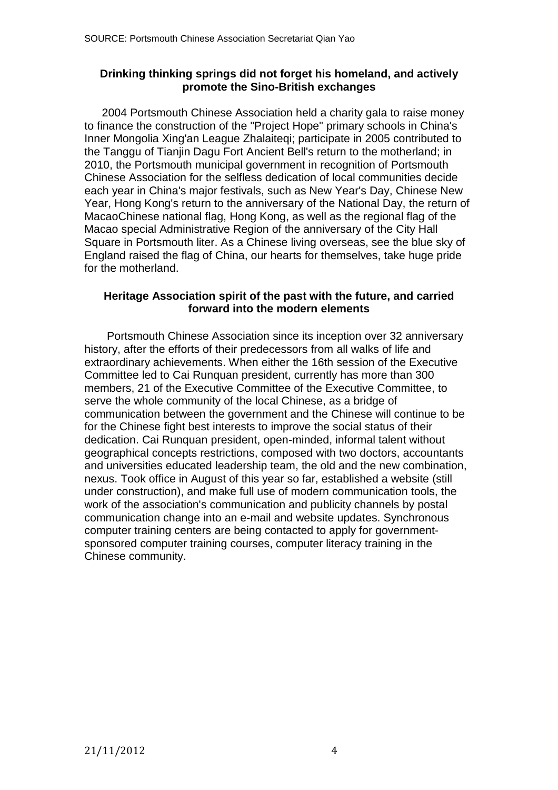### **Drinking thinking springs did not forget his homeland, and actively promote the Sino-British exchanges**

 2004 Portsmouth Chinese Association held a charity gala to raise money to finance the construction of the "Project Hope" primary schools in China's Inner Mongolia Xing'an League Zhalaiteqi; participate in 2005 contributed to the Tanggu of Tianjin Dagu Fort Ancient Bell's return to the motherland; in 2010, the Portsmouth municipal government in recognition of Portsmouth Chinese Association for the selfless dedication of local communities decide each year in China's major festivals, such as New Year's Day, Chinese New Year, Hong Kong's return to the anniversary of the National Day, the return of MacaoChinese national flag, Hong Kong, as well as the regional flag of the Macao special Administrative Region of the anniversary of the City Hall Square in Portsmouth liter. As a Chinese living overseas, see the blue sky of England raised the flag of China, our hearts for themselves, take huge pride for the motherland.

#### **Heritage Association spirit of the past with the future, and carried forward into the modern elements**

 Portsmouth Chinese Association since its inception over 32 anniversary history, after the efforts of their predecessors from all walks of life and extraordinary achievements. When either the 16th session of the Executive Committee led to Cai Runquan president, currently has more than 300 members, 21 of the Executive Committee of the Executive Committee, to serve the whole community of the local Chinese, as a bridge of communication between the government and the Chinese will continue to be for the Chinese fight best interests to improve the social status of their dedication. Cai Runquan president, open-minded, informal talent without geographical concepts restrictions, composed with two doctors, accountants and universities educated leadership team, the old and the new combination, nexus. Took office in August of this year so far, established a website (still under construction), and make full use of modern communication tools, the work of the association's communication and publicity channels by postal communication change into an e-mail and website updates. Synchronous computer training centers are being contacted to apply for governmentsponsored computer training courses, computer literacy training in the Chinese community.